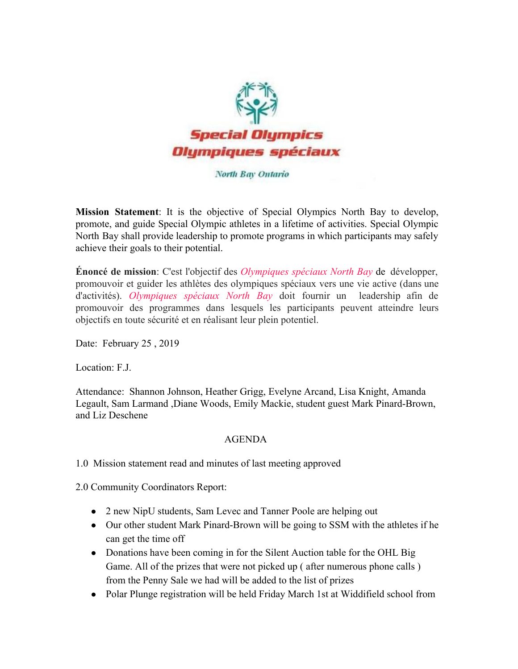

North Bay Ontario

**Mission Statement**: It is the objective of Special Olympics North Bay to develop, promote, and guide Special Olympic athletes in a lifetime of activities. Special Olympic North Bay shall provide leadership to promote programs in which participants may safely achieve their goals to their potential.

**Énoncé de mission**: C'est l'objectif des *Olympiques spéciaux North Bay* de développer, promouvoir et guider les athlètes des olympiques spéciaux vers une vie active (dans une d'activités). *Olympiques spéciaux North Bay* doit fournir un leadership afin de promouvoir des programmes dans lesquels les participants peuvent atteindre leurs objectifs en toute sécurité et en réalisant leur plein potentiel.

Date: February 25 , 2019

Location: F.J.

Attendance: Shannon Johnson, Heather Grigg, Evelyne Arcand, Lisa Knight, Amanda Legault, Sam Larmand ,Diane Woods, Emily Mackie, student guest Mark Pinard-Brown, and Liz Deschene

## AGENDA

1.0 Mission statement read and minutes of last meeting approved

2.0 Community Coordinators Report:

- 2 new NipU students, Sam Levec and Tanner Poole are helping out
- Our other student Mark Pinard-Brown will be going to SSM with the athletes if he can get the time off
- Donations have been coming in for the Silent Auction table for the OHL Big Game. All of the prizes that were not picked up ( after numerous phone calls ) from the Penny Sale we had will be added to the list of prizes
- Polar Plunge registration will be held Friday March 1st at Widdifield school from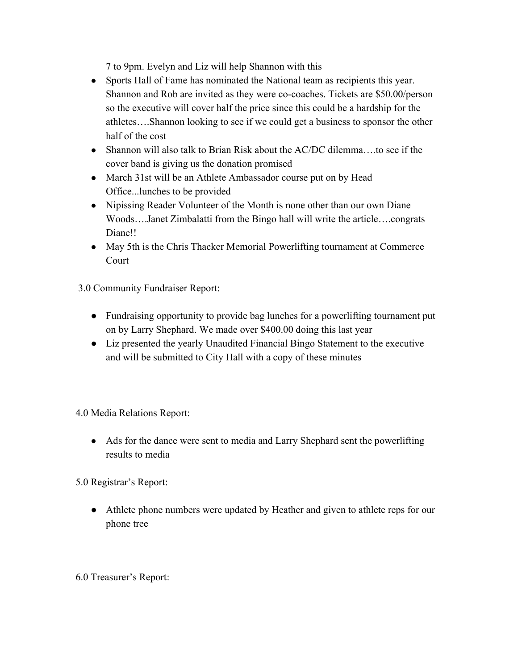7 to 9pm. Evelyn and Liz will help Shannon with this

- Sports Hall of Fame has nominated the National team as recipients this year. Shannon and Rob are invited as they were co-coaches. Tickets are \$50.00/person so the executive will cover half the price since this could be a hardship for the athletes….Shannon looking to see if we could get a business to sponsor the other half of the cost
- Shannon will also talk to Brian Risk about the AC/DC dilemma....to see if the cover band is giving us the donation promised
- March 31st will be an Athlete Ambassador course put on by Head Office...lunches to be provided
- Nipissing Reader Volunteer of the Month is none other than our own Diane Woods….Janet Zimbalatti from the Bingo hall will write the article….congrats Diane!!
- May 5th is the Chris Thacker Memorial Powerlifting tournament at Commerce Court

3.0 Community Fundraiser Report:

- Fundraising opportunity to provide bag lunches for a powerlifting tournament put on by Larry Shephard. We made over \$400.00 doing this last year
- Liz presented the yearly Unaudited Financial Bingo Statement to the executive and will be submitted to City Hall with a copy of these minutes

4.0 Media Relations Report:

• Ads for the dance were sent to media and Larry Shephard sent the powerlifting results to media

5.0 Registrar's Report:

• Athlete phone numbers were updated by Heather and given to athlete reps for our phone tree

## 6.0 Treasurer's Report: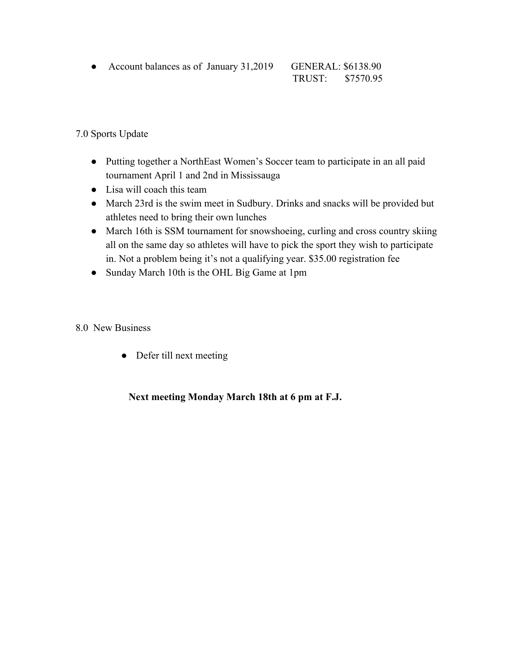● Account balances as of January 31,2019 GENERAL: \$6138.90

TRUST: \$7570.95

7.0 Sports Update

- Putting together a NorthEast Women's Soccer team to participate in an all paid tournament April 1 and 2nd in Mississauga
- Lisa will coach this team
- March 23rd is the swim meet in Sudbury. Drinks and snacks will be provided but athletes need to bring their own lunches
- March 16th is SSM tournament for snowshoeing, curling and cross country skiing all on the same day so athletes will have to pick the sport they wish to participate in. Not a problem being it's not a qualifying year. \$35.00 registration fee
- Sunday March 10th is the OHL Big Game at 1pm
- 8.0 New Business
	- Defer till next meeting

 **Next meeting Monday March 18th at 6 pm at F.J.**